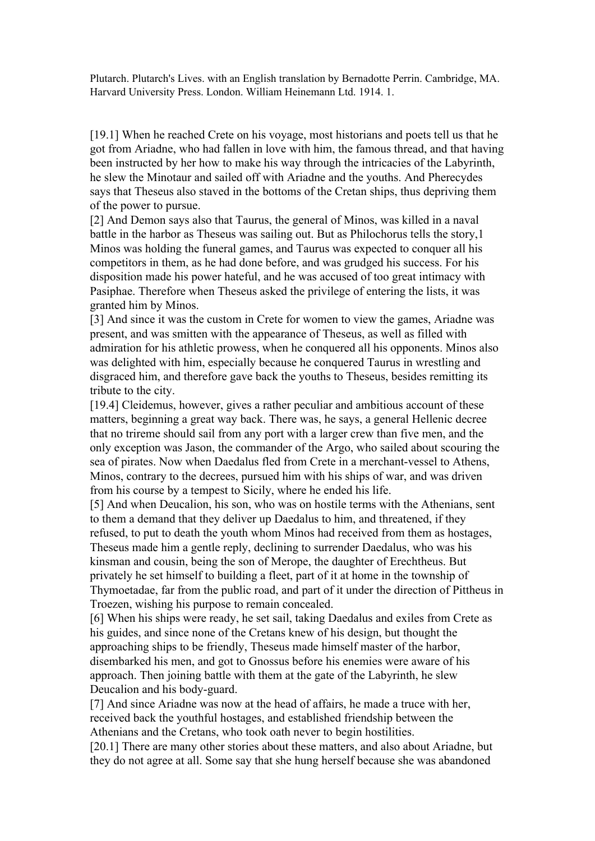Plutarch. Plutarch's Lives. with an English translation by Bernadotte Perrin. Cambridge, MA. Harvard University Press. London. William Heinemann Ltd. 1914. 1.

[19.1] When he reached Crete on his voyage, most historians and poets tell us that he got from Ariadne, who had fallen in love with him, the famous thread, and that having been instructed by her how to make his way through the intricacies of the Labyrinth, he slew the Minotaur and sailed off with Ariadne and the youths. And Pherecydes says that Theseus also staved in the bottoms of the Cretan ships, thus depriving them of the power to pursue.

[2] And Demon says also that Taurus, the general of Minos, was killed in a naval battle in the harbor as Theseus was sailing out. But as Philochorus tells the story,1 Minos was holding the funeral games, and Taurus was expected to conquer all his competitors in them, as he had done before, and was grudged his success. For his disposition made his power hateful, and he was accused of too great intimacy with Pasiphae. Therefore when Theseus asked the privilege of entering the lists, it was granted him by Minos.

[3] And since it was the custom in Crete for women to view the games, Ariadne was present, and was smitten with the appearance of Theseus, as well as filled with admiration for his athletic prowess, when he conquered all his opponents. Minos also was delighted with him, especially because he conquered Taurus in wrestling and disgraced him, and therefore gave back the youths to Theseus, besides remitting its tribute to the city.

[19.4] Cleidemus, however, gives a rather peculiar and ambitious account of these matters, beginning a great way back. There was, he says, a general Hellenic decree that no trireme should sail from any port with a larger crew than five men, and the only exception was Jason, the commander of the Argo, who sailed about scouring the sea of pirates. Now when Daedalus fled from Crete in a merchant-vessel to Athens, Minos, contrary to the decrees, pursued him with his ships of war, and was driven from his course by a tempest to Sicily, where he ended his life.

[5] And when Deucalion, his son, who was on hostile terms with the Athenians, sent to them a demand that they deliver up Daedalus to him, and threatened, if they refused, to put to death the youth whom Minos had received from them as hostages, Theseus made him a gentle reply, declining to surrender Daedalus, who was his kinsman and cousin, being the son of Merope, the daughter of Erechtheus. But privately he set himself to building a fleet, part of it at home in the township of Thymoetadae, far from the public road, and part of it under the direction of Pittheus in Troezen, wishing his purpose to remain concealed.

[6] When his ships were ready, he set sail, taking Daedalus and exiles from Crete as his guides, and since none of the Cretans knew of his design, but thought the approaching ships to be friendly, Theseus made himself master of the harbor, disembarked his men, and got to Gnossus before his enemies were aware of his approach. Then joining battle with them at the gate of the Labyrinth, he slew Deucalion and his body-guard.

[7] And since Ariadne was now at the head of affairs, he made a truce with her, received back the youthful hostages, and established friendship between the Athenians and the Cretans, who took oath never to begin hostilities.

[20.1] There are many other stories about these matters, and also about Ariadne, but they do not agree at all. Some say that she hung herself because she was abandoned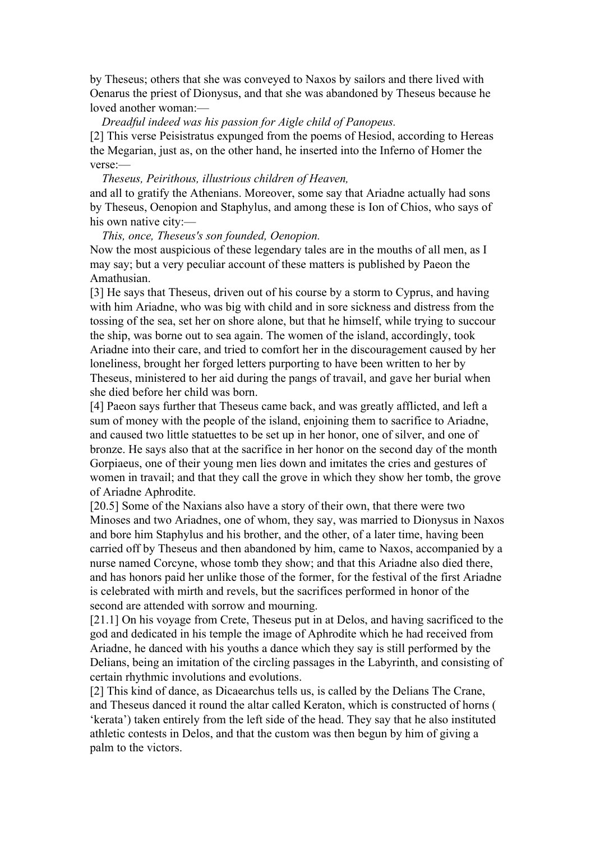by Theseus; others that she was conveyed to Naxos by sailors and there lived with Oenarus the priest of Dionysus, and that she was abandoned by Theseus because he loved another woman:—

 *Dreadful indeed was his passion for Aigle child of Panopeus.* [2] This verse Peisistratus expunged from the poems of Hesiod, according to Hereas

the Megarian, just as, on the other hand, he inserted into the Inferno of Homer the verse:—

## *Theseus, Peirithous, illustrious children of Heaven,*

and all to gratify the Athenians. Moreover, some say that Ariadne actually had sons by Theseus, Oenopion and Staphylus, and among these is Ion of Chios, who says of his own native city:—

 *This, once, Theseus's son founded, Oenopion.*

Now the most auspicious of these legendary tales are in the mouths of all men, as I may say; but a very peculiar account of these matters is published by Paeon the Amathusian.

[3] He says that Theseus, driven out of his course by a storm to Cyprus, and having with him Ariadne, who was big with child and in sore sickness and distress from the tossing of the sea, set her on shore alone, but that he himself, while trying to succour the ship, was borne out to sea again. The women of the island, accordingly, took Ariadne into their care, and tried to comfort her in the discouragement caused by her loneliness, brought her forged letters purporting to have been written to her by Theseus, ministered to her aid during the pangs of travail, and gave her burial when she died before her child was born.

[4] Paeon says further that Theseus came back, and was greatly afflicted, and left a sum of money with the people of the island, enjoining them to sacrifice to Ariadne, and caused two little statuettes to be set up in her honor, one of silver, and one of bronze. He says also that at the sacrifice in her honor on the second day of the month Gorpiaeus, one of their young men lies down and imitates the cries and gestures of women in travail; and that they call the grove in which they show her tomb, the grove of Ariadne Aphrodite.

[20.5] Some of the Naxians also have a story of their own, that there were two Minoses and two Ariadnes, one of whom, they say, was married to Dionysus in Naxos and bore him Staphylus and his brother, and the other, of a later time, having been carried off by Theseus and then abandoned by him, came to Naxos, accompanied by a nurse named Corcyne, whose tomb they show; and that this Ariadne also died there, and has honors paid her unlike those of the former, for the festival of the first Ariadne is celebrated with mirth and revels, but the sacrifices performed in honor of the second are attended with sorrow and mourning.

[21.1] On his voyage from Crete, Theseus put in at Delos, and having sacrificed to the god and dedicated in his temple the image of Aphrodite which he had received from Ariadne, he danced with his youths a dance which they say is still performed by the Delians, being an imitation of the circling passages in the Labyrinth, and consisting of certain rhythmic involutions and evolutions.

[2] This kind of dance, as Dicaearchus tells us, is called by the Delians The Crane, and Theseus danced it round the altar called Keraton, which is constructed of horns ( 'kerata') taken entirely from the left side of the head. They say that he also instituted athletic contests in Delos, and that the custom was then begun by him of giving a palm to the victors.